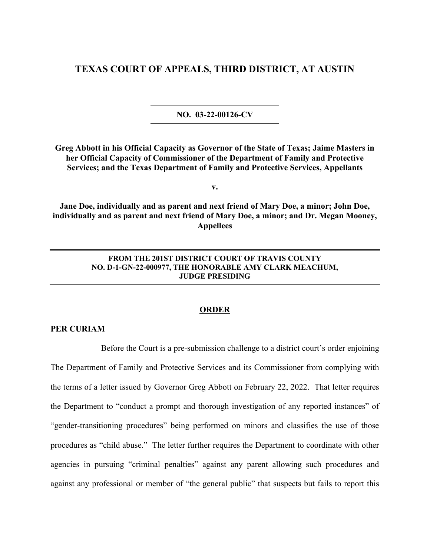## **TEXAS COURT OF APPEALS, THIRD DISTRICT, AT AUSTIN**

**NO. 03-22-00126-CV**

**Greg Abbott in his Official Capacity as Governor of the State of Texas; Jaime Masters in her Official Capacity of Commissioner of the Department of Family and Protective Services; and the Texas Department of Family and Protective Services, Appellants** 

**v.** 

**Jane Doe, individually and as parent and next friend of Mary Doe, a minor; John Doe, individually and as parent and next friend of Mary Doe, a minor; and Dr. Megan Mooney, Appellees** 

## **FROM THE 201ST DISTRICT COURT OF TRAVIS COUNTY NO. D-1-GN-22-000977, THE HONORABLE AMY CLARK MEACHUM, JUDGE PRESIDING**

## **ORDER**

## **PER CURIAM**

Before the Court is a pre-submission challenge to a district court's order enjoining The Department of Family and Protective Services and its Commissioner from complying with the terms of a letter issued by Governor Greg Abbott on February 22, 2022. That letter requires the Department to "conduct a prompt and thorough investigation of any reported instances" of "gender-transitioning procedures" being performed on minors and classifies the use of those procedures as "child abuse." The letter further requires the Department to coordinate with other agencies in pursuing "criminal penalties" against any parent allowing such procedures and against any professional or member of "the general public" that suspects but fails to report this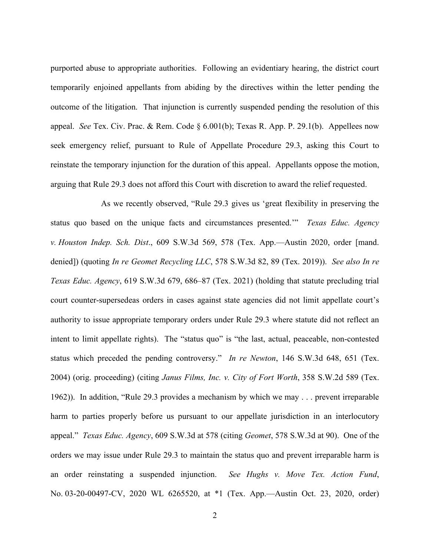purported abuse to appropriate authorities. Following an evidentiary hearing, the district court temporarily enjoined appellants from abiding by the directives within the letter pending the outcome of the litigation. That injunction is currently suspended pending the resolution of this appeal. *See* Tex. Civ. Prac. & Rem. Code § 6.001(b); Texas R. App. P. 29.1(b). Appellees now seek emergency relief, pursuant to Rule of Appellate Procedure 29.3, asking this Court to reinstate the temporary injunction for the duration of this appeal. Appellants oppose the motion, arguing that Rule 29.3 does not afford this Court with discretion to award the relief requested.

As we recently observed, "Rule 29.3 gives us 'great flexibility in preserving the status quo based on the unique facts and circumstances presented.'" *Texas Educ. Agency v. Houston Indep. Sch. Dist*., 609 S.W.3d 569, 578 (Tex. App.—Austin 2020, order [mand. denied]) (quoting *In re Geomet Recycling LLC*, 578 S.W.3d 82, 89 (Tex. 2019)). *See also In re Texas Educ. Agency*, 619 S.W.3d 679, 686–87 (Tex. 2021) (holding that statute precluding trial court counter-supersedeas orders in cases against state agencies did not limit appellate court's authority to issue appropriate temporary orders under Rule 29.3 where statute did not reflect an intent to limit appellate rights). The "status quo" is "the last, actual, peaceable, non-contested status which preceded the pending controversy." *In re Newton*, 146 S.W.3d 648, 651 (Tex. 2004) (orig. proceeding) (citing *Janus Films, Inc. v. City of Fort Worth*, 358 S.W.2d 589 (Tex. 1962)). In addition, "Rule 29.3 provides a mechanism by which we may . . . prevent irreparable harm to parties properly before us pursuant to our appellate jurisdiction in an interlocutory appeal." *Texas Educ. Agency*, 609 S.W.3d at 578 (citing *Geomet*, 578 S.W.3d at 90). One of the orders we may issue under Rule 29.3 to maintain the status quo and prevent irreparable harm is an order reinstating a suspended injunction. *See Hughs v. Move Tex. Action Fund*, No. 03-20-00497-CV, 2020 WL 6265520, at \*1 (Tex. App.—Austin Oct. 23, 2020, order)